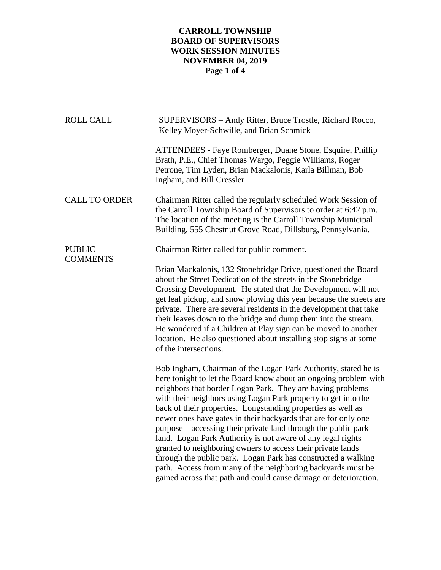## **CARROLL TOWNSHIP BOARD OF SUPERVISORS WORK SESSION MINUTES NOVEMBER 04, 2019 Page 1 of 4**

| <b>ROLL CALL</b>                 | SUPERVISORS - Andy Ritter, Bruce Trostle, Richard Rocco,<br>Kelley Moyer-Schwille, and Brian Schmick                                                                                                                                                                                                                                                                                                                                                                                                                                                                                                                                                                                                                                                                                                     |
|----------------------------------|----------------------------------------------------------------------------------------------------------------------------------------------------------------------------------------------------------------------------------------------------------------------------------------------------------------------------------------------------------------------------------------------------------------------------------------------------------------------------------------------------------------------------------------------------------------------------------------------------------------------------------------------------------------------------------------------------------------------------------------------------------------------------------------------------------|
|                                  | ATTENDEES - Faye Romberger, Duane Stone, Esquire, Phillip<br>Brath, P.E., Chief Thomas Wargo, Peggie Williams, Roger<br>Petrone, Tim Lyden, Brian Mackalonis, Karla Billman, Bob<br>Ingham, and Bill Cressler                                                                                                                                                                                                                                                                                                                                                                                                                                                                                                                                                                                            |
| <b>CALL TO ORDER</b>             | Chairman Ritter called the regularly scheduled Work Session of<br>the Carroll Township Board of Supervisors to order at 6:42 p.m.<br>The location of the meeting is the Carroll Township Municipal<br>Building, 555 Chestnut Grove Road, Dillsburg, Pennsylvania.                                                                                                                                                                                                                                                                                                                                                                                                                                                                                                                                        |
| <b>PUBLIC</b><br><b>COMMENTS</b> | Chairman Ritter called for public comment.                                                                                                                                                                                                                                                                                                                                                                                                                                                                                                                                                                                                                                                                                                                                                               |
|                                  | Brian Mackalonis, 132 Stonebridge Drive, questioned the Board<br>about the Street Dedication of the streets in the Stonebridge<br>Crossing Development. He stated that the Development will not<br>get leaf pickup, and snow plowing this year because the streets are<br>private. There are several residents in the development that take<br>their leaves down to the bridge and dump them into the stream.<br>He wondered if a Children at Play sign can be moved to another<br>location. He also questioned about installing stop signs at some<br>of the intersections.                                                                                                                                                                                                                             |
|                                  | Bob Ingham, Chairman of the Logan Park Authority, stated he is<br>here tonight to let the Board know about an ongoing problem with<br>neighbors that border Logan Park. They are having problems<br>with their neighbors using Logan Park property to get into the<br>back of their properties. Longstanding properties as well as<br>newer ones have gates in their backyards that are for only one<br>purpose – accessing their private land through the public park<br>land. Logan Park Authority is not aware of any legal rights<br>granted to neighboring owners to access their private lands<br>through the public park. Logan Park has constructed a walking<br>path. Access from many of the neighboring backyards must be<br>gained across that path and could cause damage or deterioration. |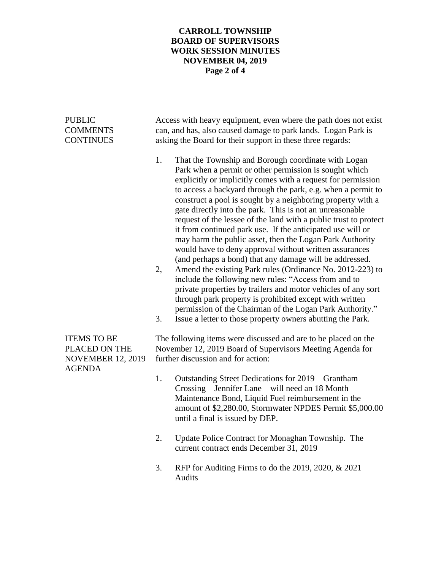## **CARROLL TOWNSHIP BOARD OF SUPERVISORS WORK SESSION MINUTES NOVEMBER 04, 2019 Page 2 of 4**

| <b>PUBLIC</b><br><b>COMMENTS</b><br><b>CONTINUES</b>                             | Access with heavy equipment, even where the path does not exist<br>can, and has, also caused damage to park lands. Logan Park is<br>asking the Board for their support in these three regards: |                                                                                                                                                                                                                                                                                                                                                                                                                                                                                                                                                                                                                                                                                                                                                                                                                                                                                                                                                                                                                                                                        |  |
|----------------------------------------------------------------------------------|------------------------------------------------------------------------------------------------------------------------------------------------------------------------------------------------|------------------------------------------------------------------------------------------------------------------------------------------------------------------------------------------------------------------------------------------------------------------------------------------------------------------------------------------------------------------------------------------------------------------------------------------------------------------------------------------------------------------------------------------------------------------------------------------------------------------------------------------------------------------------------------------------------------------------------------------------------------------------------------------------------------------------------------------------------------------------------------------------------------------------------------------------------------------------------------------------------------------------------------------------------------------------|--|
|                                                                                  | 1.<br>2,<br>3.                                                                                                                                                                                 | That the Township and Borough coordinate with Logan<br>Park when a permit or other permission is sought which<br>explicitly or implicitly comes with a request for permission<br>to access a backyard through the park, e.g. when a permit to<br>construct a pool is sought by a neighboring property with a<br>gate directly into the park. This is not an unreasonable<br>request of the lessee of the land with a public trust to protect<br>it from continued park use. If the anticipated use will or<br>may harm the public asset, then the Logan Park Authority<br>would have to deny approval without written assurances<br>(and perhaps a bond) that any damage will be addressed.<br>Amend the existing Park rules (Ordinance No. 2012-223) to<br>include the following new rules: "Access from and to<br>private properties by trailers and motor vehicles of any sort<br>through park property is prohibited except with written<br>permission of the Chairman of the Logan Park Authority."<br>Issue a letter to those property owners abutting the Park. |  |
| <b>ITEMS TO BE</b><br>PLACED ON THE<br><b>NOVEMBER 12, 2019</b><br><b>AGENDA</b> | The following items were discussed and are to be placed on the<br>November 12, 2019 Board of Supervisors Meeting Agenda for<br>further discussion and for action:                              |                                                                                                                                                                                                                                                                                                                                                                                                                                                                                                                                                                                                                                                                                                                                                                                                                                                                                                                                                                                                                                                                        |  |
|                                                                                  | 1.                                                                                                                                                                                             | Outstanding Street Dedications for 2019 – Grantham<br>Crossing - Jennifer Lane - will need an 18 Month<br>Maintenance Bond, Liquid Fuel reimbursement in the<br>amount of \$2,280.00, Stormwater NPDES Permit \$5,000.00<br>until a final is issued by DEP.                                                                                                                                                                                                                                                                                                                                                                                                                                                                                                                                                                                                                                                                                                                                                                                                            |  |
|                                                                                  | 2.                                                                                                                                                                                             | Update Police Contract for Monaghan Township. The<br>current contract ends December 31, 2019                                                                                                                                                                                                                                                                                                                                                                                                                                                                                                                                                                                                                                                                                                                                                                                                                                                                                                                                                                           |  |
|                                                                                  | 3.                                                                                                                                                                                             | RFP for Auditing Firms to do the 2019, 2020, & 2021<br>Audits                                                                                                                                                                                                                                                                                                                                                                                                                                                                                                                                                                                                                                                                                                                                                                                                                                                                                                                                                                                                          |  |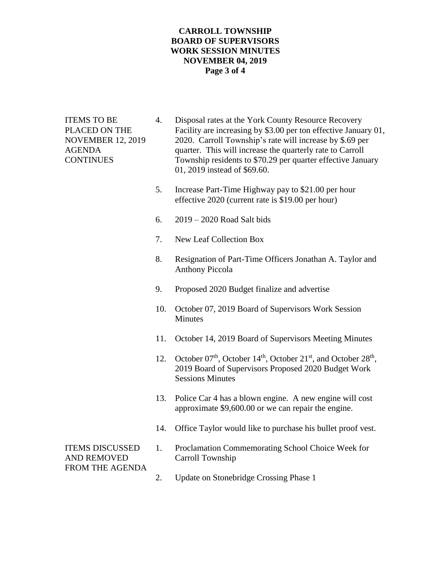#### **CARROLL TOWNSHIP BOARD OF SUPERVISORS WORK SESSION MINUTES NOVEMBER 04, 2019 Page 3 of 4**

- ITEMS TO BE 4. Disposal rates at the York County Resource Recovery PLACED ON THE Facility are increasing by \$3.00 per ton effective January 01, NOVEMBER 12, 2019 2020. Carroll Township's rate will increase by \$.69 per AGENDA quarter. This will increase the quarterly rate to Carroll CONTINUES Township residents to \$70.29 per quarter effective January 01, 2019 instead of \$69.60.
	- 5. Increase Part-Time Highway pay to \$21.00 per hour effective 2020 (current rate is \$19.00 per hour)
	- 6. 2019 2020 Road Salt bids
	- 7. New Leaf Collection Box
	- 8. Resignation of Part-Time Officers Jonathan A. Taylor and Anthony Piccola
	- 9. Proposed 2020 Budget finalize and advertise
	- 10. October 07, 2019 Board of Supervisors Work Session Minutes
	- 11. October 14, 2019 Board of Supervisors Meeting Minutes
	- 12. October  $07<sup>th</sup>$ , October  $14<sup>th</sup>$ , October  $21<sup>st</sup>$ , and October  $28<sup>th</sup>$ , 2019 Board of Supervisors Proposed 2020 Budget Work Sessions Minutes
	- 13. Police Car 4 has a blown engine. A new engine will cost approximate \$9,600.00 or we can repair the engine.
	- 14. Office Taylor would like to purchase his bullet proof vest.

# AND REMOVED Carroll Township FROM THE AGENDA

- ITEMS DISCUSSED 1. Proclamation Commemorating School Choice Week for
	- 2. Update on Stonebridge Crossing Phase 1